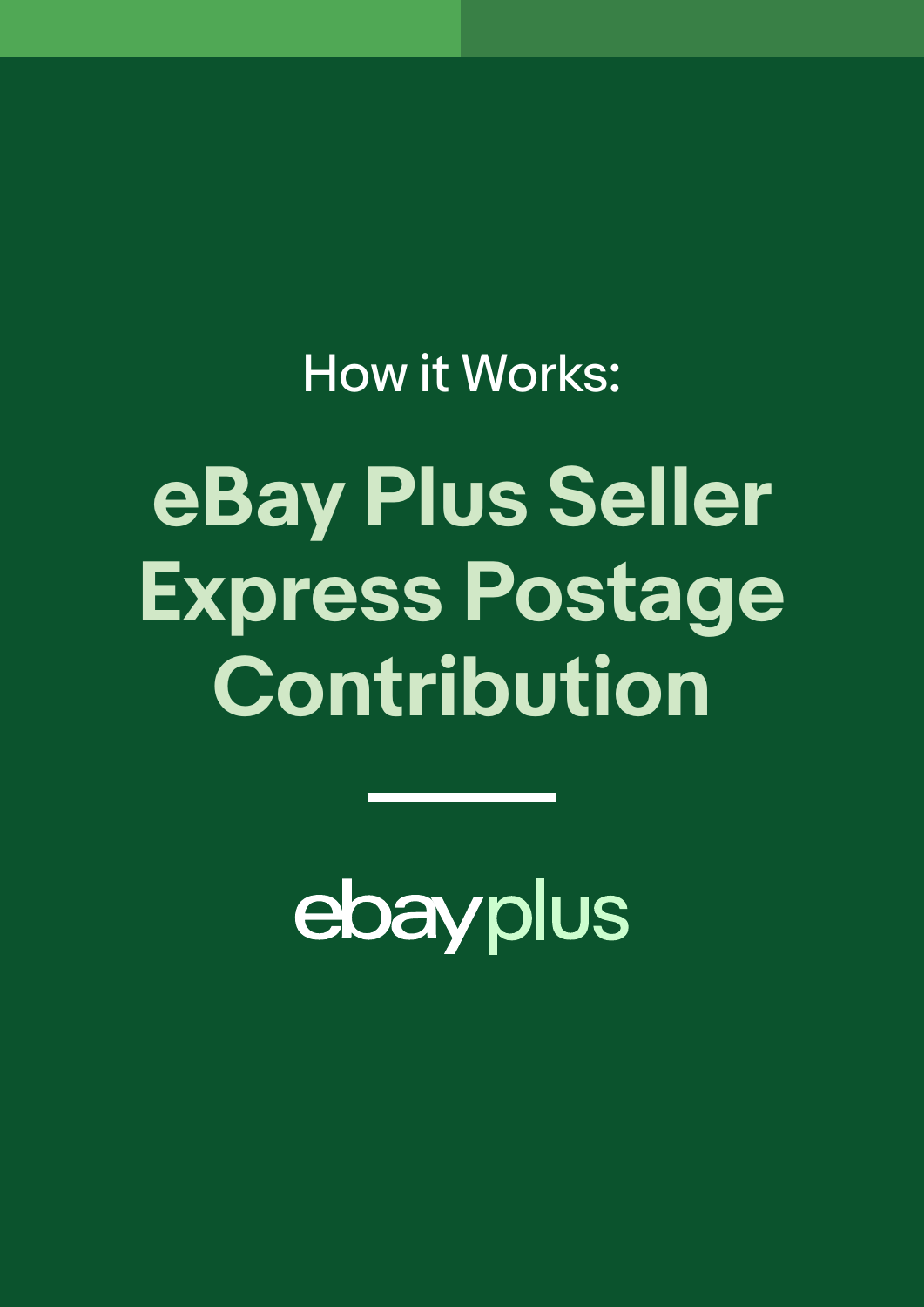How it Works:

**eBay Plus Seller Express Postage Contribution**

ebayplus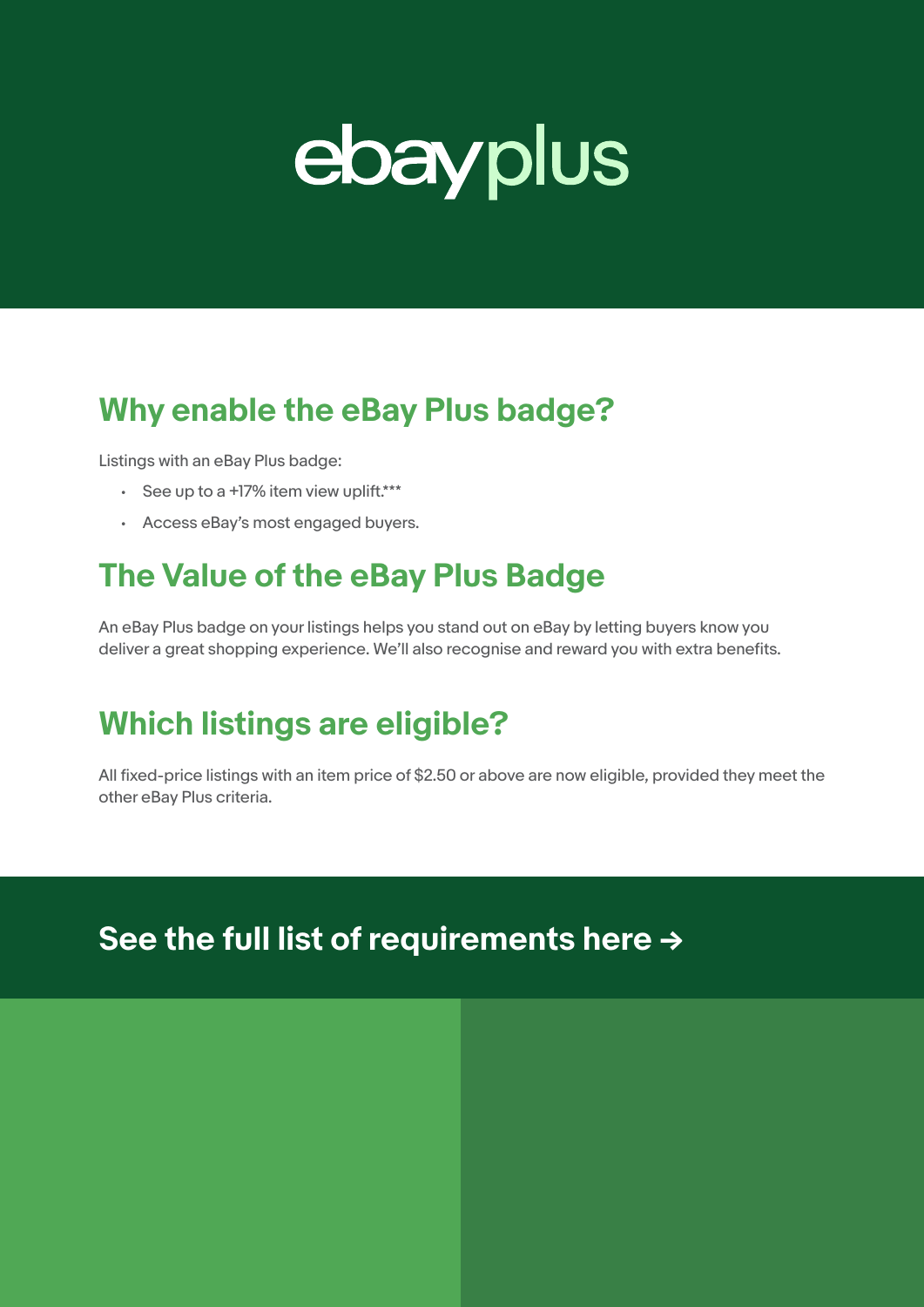

## **Why enable the eBay Plus badge?**

Listings with an eBay Plus badge:

- See up to a +17% item view uplift.\*\*\*
- Access eBay's most engaged buyers.

# **The Value of the eBay Plus Badge**

An eBay Plus badge on your listings helps you stand out on eBay by letting buyers know you deliver a great shopping experience. We'll also recognise and reward you with extra benefits.

# **Which listings are eligible?**

All fixed-price listings with an item price of \$2.50 or above are now eligible, provided they meet the other eBay Plus criteria.

### **[See the full list of requirements here](https://www.ebay.com.au/help/selling/listings/creating-managing-listings/selling-ebay-plus?id=4756#section2) →**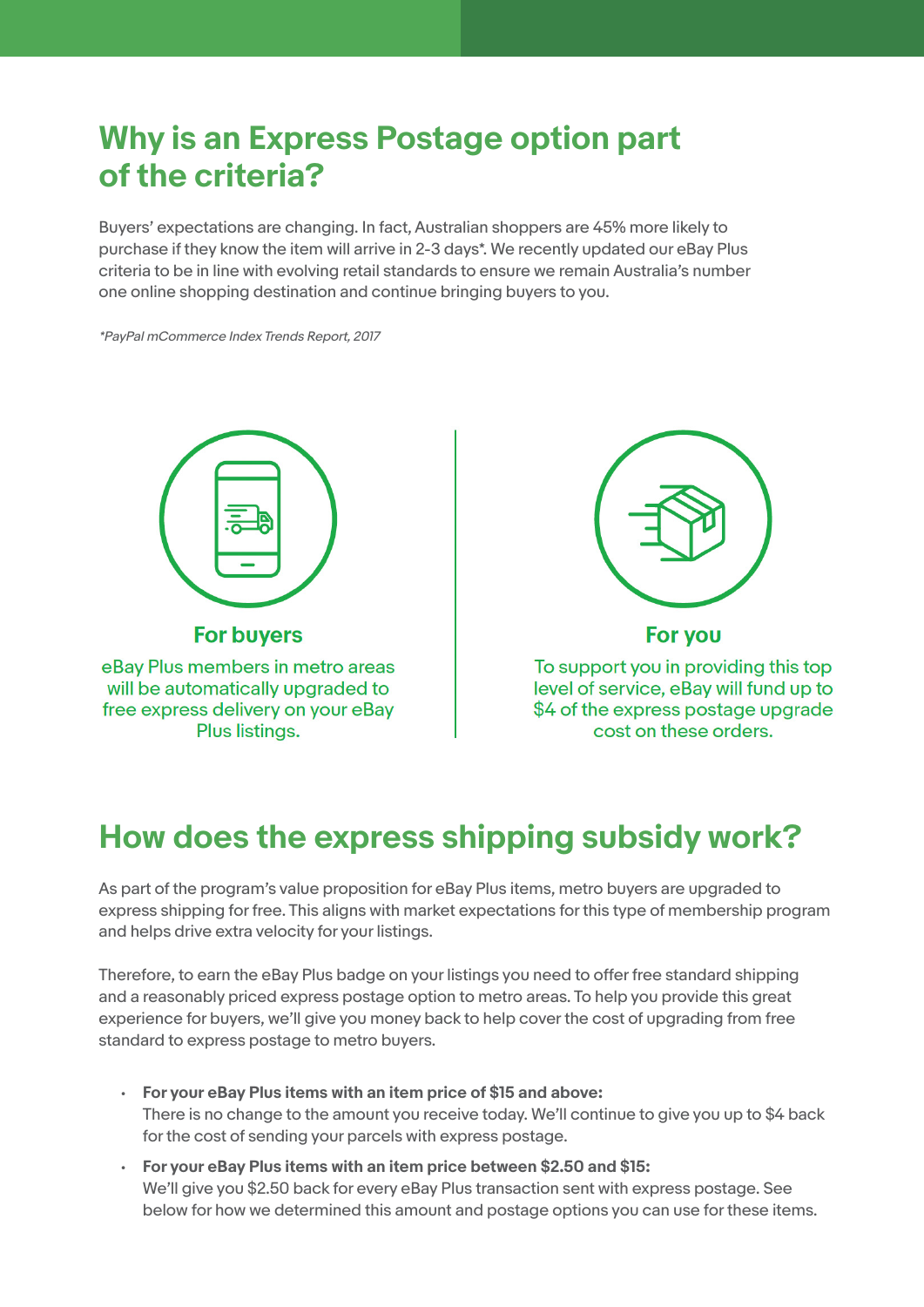# **Why is an Express Postage option part of the criteria?**

Buyers' expectations are changing. In fact, Australian shoppers are 45% more likely to purchase if they know the item will arrive in 2-3 days\*. We recently updated our eBay Plus criteria to be in line with evolving retail standards to ensure we remain Australia's number one online shopping destination and continue bringing buyers to you.

\*PayPal mCommerce Index Trends Report, 2017



eBay Plus members in metro areas will be automatically upgraded to free express delivery on your eBay Plus listings.



For you

To support you in providing this top level of service, eBay will fund up to \$4 of the express postage upgrade cost on these orders.

# **How does the express shipping subsidy work?**

As part of the program's value proposition for eBay Plus items, metro buyers are upgraded to express shipping for free. This aligns with market expectations for this type of membership program and helps drive extra velocity for your listings.

Therefore, to earn the eBay Plus badge on your listings you need to offer free standard shipping and a reasonably priced express postage option to metro areas. To help you provide this great experience for buyers, we'll give you money back to help cover the cost of upgrading from free standard to express postage to metro buyers.

- **• For your eBay Plus items with an item price of \$15 and above:**  There is no change to the amount you receive today. We'll continue to give you up to \$4 back for the cost of sending your parcels with express postage.
- **• For your eBay Plus items with an item price between \$2.50 and \$15:**  We'll give you \$2.50 back for every eBay Plus transaction sent with express postage. See below for how we determined this amount and postage options you can use for these items.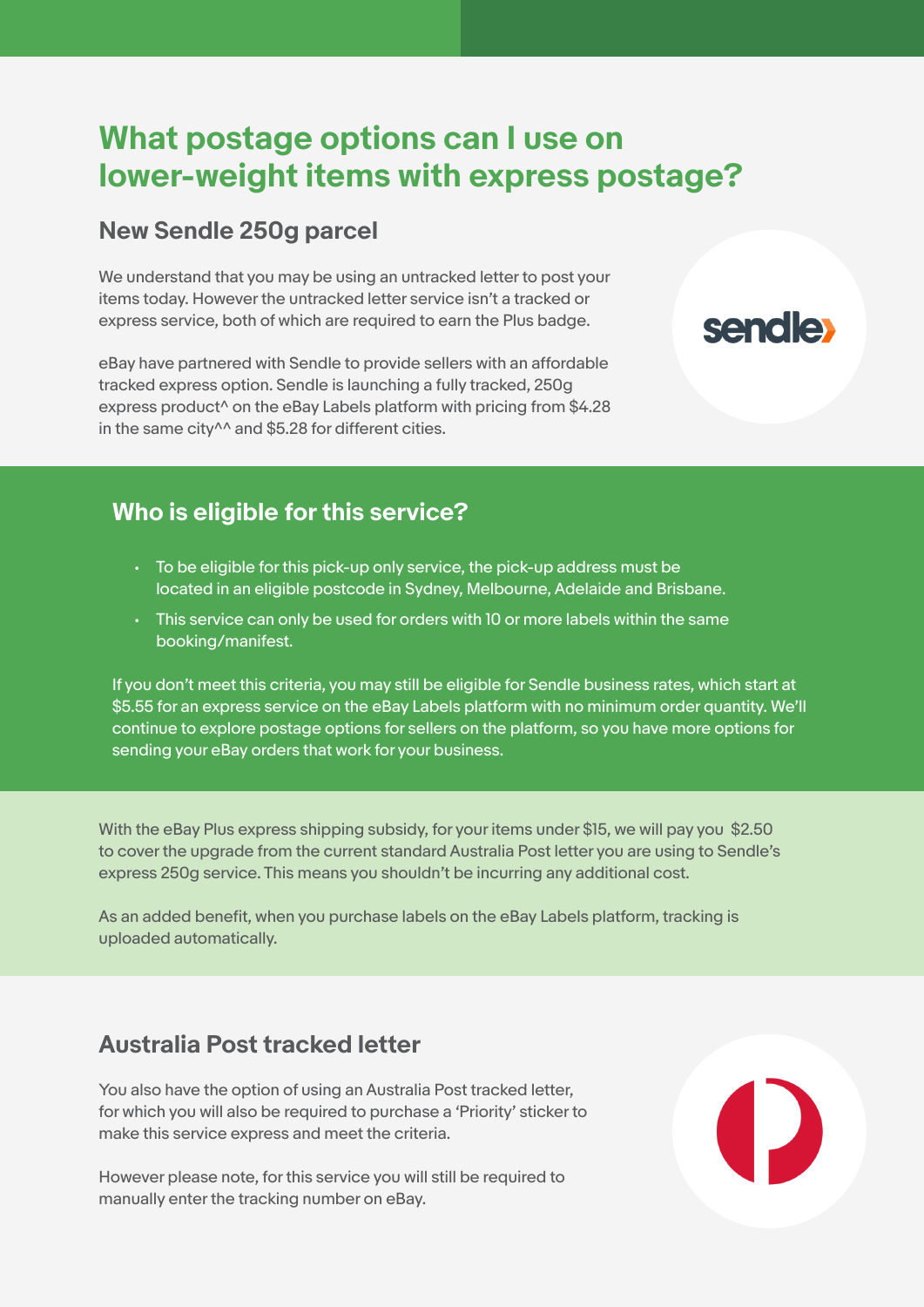### **What postage options can I use on lower-weight items with express postage?**

**sendle** 

#### **New Sendle 250g parcel**

We understand that you may be using an untracked letter to post your items today. However the untracked letter service isn't a tracked or express service, both of which are required to earn the Plus badge.

eBay have partnered with Sendle to provide sellers with an affordable tracked express option. Sendle is launching a fully tracked, 250g express product<sup>^</sup> on the eBay Labels platform with pricing from \$4.28 in the same city<sup>^^</sup> and \$5.28 for different cities.

#### **Who is eligible for this service?**

- To be eligible for this pick-up only service, the pick-up address must be located in an eligible postcode in Sydney, Melbourne, Adelaide and Brisbane.
- This service can only be used for orders with 10 or more labels within the same booking/manifest.

If you don't meet this criteria, you may still be eligible for Sendle business rates, which start at \$5.55 for an express service on the eBay Labels platform with no minimum order quantity. We'll continue to explore postage options for sellers on the platform, so you have more options for sending your eBay orders that work for your business.

With the eBay Plus express shipping subsidy, for your items under \$15, we will pay you \$2.50 to cover the upgrade from the current standard Australia Post letter you are using to Sendle's express 250g service. This means you shouldn't be incurring any additional cost.

As an added benefit, when you purchase labels on the eBay Labels platform, tracking is uploaded automatically.

#### **Australia Post tracked letter**

You also have the option of using an Australia Post tracked letter, for which you will also be required to purchase a 'Priority' sticker to make this service express and meet the criteria.

However please note, for this service you will still be required to manually enter the tracking number on eBay.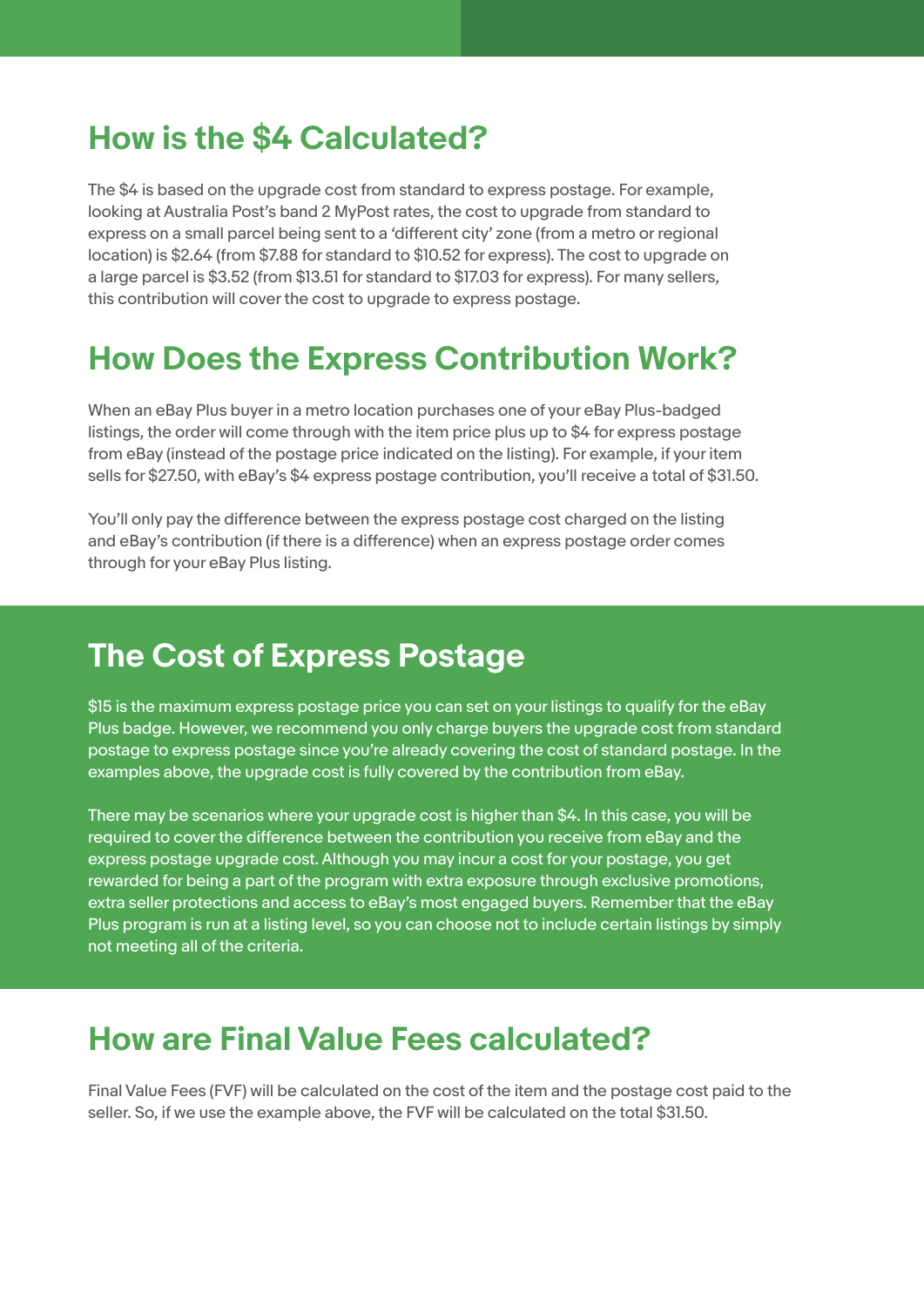### **How is the \$4 Calculated?**

The \$4 is based on the upgrade cost from standard to express postage. For example, looking at Australia Post's band 2 MyPost rates, the cost to upgrade from standard to express on a small parcel being sent to a 'different city' zone (from a metro or regional location) is \$2.64 (from \$7.88 for standard to \$10.52 for express). The cost to upgrade on a large parcel is \$3.52 (from \$13.51 for standard to \$17.03 for express). For many sellers, this contribution will cover the cost to upgrade to express postage.

### **How Does the Express Contribution Work?**

When an eBay Plus buyer in a metro location purchases one of your eBay Plus-badged listings, the order will come through with the item price plus up to \$4 for express postage from eBay (instead of the postage price indicated on the listing). For example, if your item sells for \$27.50, with eBay's \$4 express postage contribution, you'll receive a total of \$31.50.

You'll only pay the difference between the express postage cost charged on the listing and eBay's contribution (if there is a difference) when an express postage order comes through for your eBay Plus listing.

## **The Cost of Express Postage**

\$15 is the maximum express postage price you can set on your listings to qualify for the eBay Plus badge. However, we recommend you only charge buyers the upgrade cost from standard postage to express postage since you're already covering the cost of standard postage. In the examples above, the upgrade cost is fully covered by the contribution from eBay.

There may be scenarios where your upgrade cost is higher than \$4. In this case, you will be required to cover the difference between the contribution you receive from eBay and the express postage upgrade cost. Although you may incur a cost for your postage, you get rewarded for being a part of the program with extra exposure through exclusive promotions, extra seller protections and access to eBay's most engaged buyers. Remember that the eBay Plus program is run at a listing level, so you can choose not to include certain listings by simply not meeting all of the criteria.

### **How are Final Value Fees calculated?**

Final Value Fees (FVF) will be calculated on the cost of the item and the postage cost paid to the seller. So, if we use the example above, the FVF will be calculated on the total \$31.50.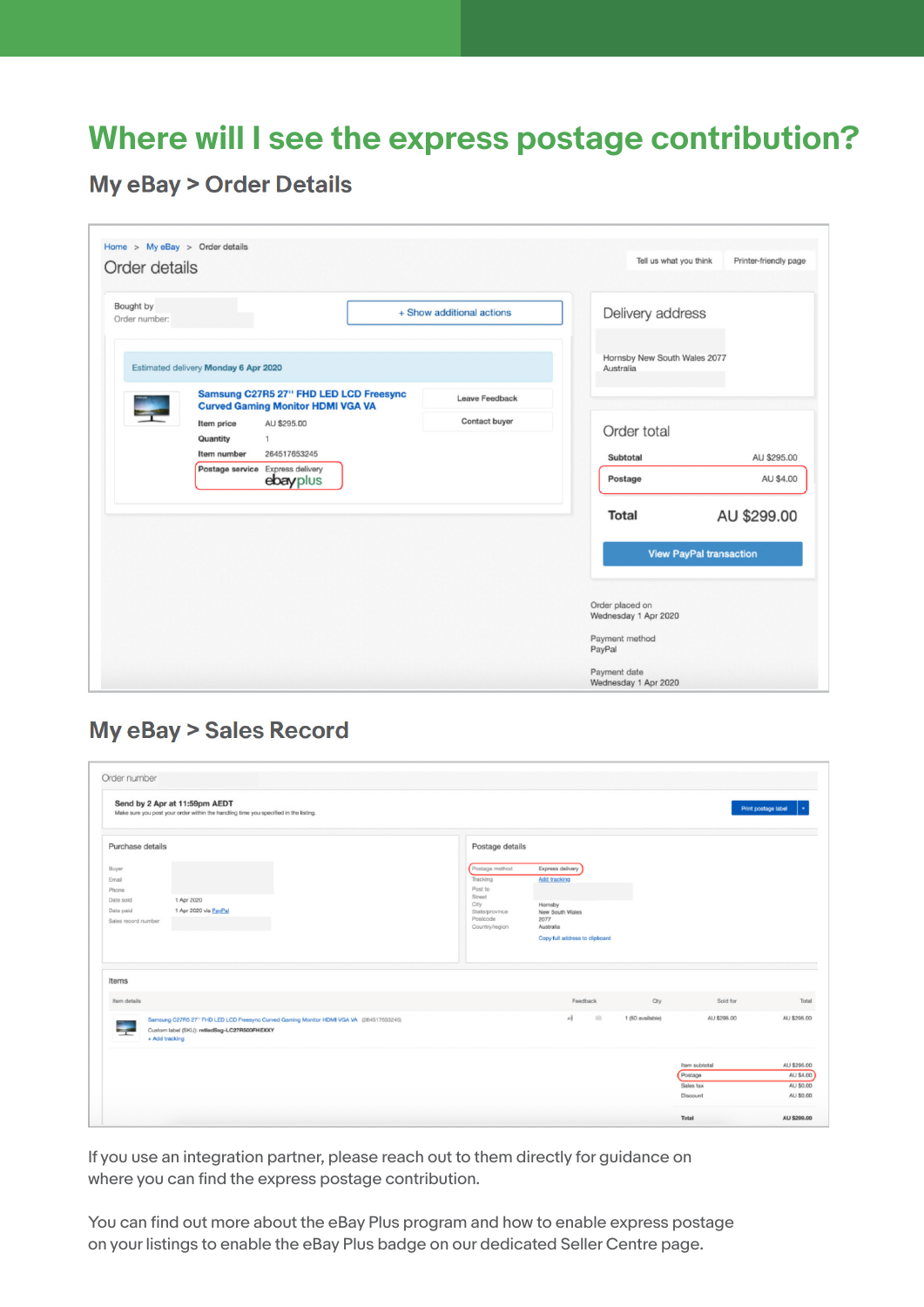## **Where will I see the express postage contribution?**

**My eBay > Order Details** 

| Order details                                |                                                                                    |                           |                                           |             |  |  |
|----------------------------------------------|------------------------------------------------------------------------------------|---------------------------|-------------------------------------------|-------------|--|--|
| Bought by<br>Order number:                   |                                                                                    | + Show additional actions | Delivery address                          |             |  |  |
|                                              | Estimated delivery Monday 6 Apr 2020                                               |                           | Hornsby New South Wales 2077<br>Australia |             |  |  |
|                                              | Samsung C27R5 27" FHD LED LCD Freesync<br><b>Curved Gaming Monitor HDMI VGA VA</b> | <b>Leave Feedback</b>     |                                           |             |  |  |
|                                              | AU \$295.00<br>Item price<br>Quantity<br>$\mathbf{1}$                              | Contact buyer             | Order total                               |             |  |  |
|                                              | Item number<br>264517653245                                                        |                           | Subtotal                                  | AU \$295.00 |  |  |
| Postage service Express delivery<br>ebayplus |                                                                                    |                           | Postage                                   | AU \$4.00   |  |  |
|                                              |                                                                                    |                           | <b>Total</b>                              | AU \$299.00 |  |  |
|                                              |                                                                                    |                           | <b>View PayPal transaction</b>            |             |  |  |
|                                              |                                                                                    |                           | Order placed on<br>Wednesday 1 Apr 2020   |             |  |  |
|                                              |                                                                                    |                           | Payment method<br>PayPal                  |             |  |  |
|                                              |                                                                                    |                           | Payment date                              |             |  |  |
|                                              |                                                                                    |                           | Wednesday 1 Apr 2020                      |             |  |  |

#### **My eBay > Sales Record**

| Order number                                                             | Send by 2 Apr at 11:59pm AEDT<br>Make sure you post your order within the handling time you specified in the listing.                                    |                                                                                                         |                                                                                                                       |                  |                                                   | Print postage label                                |
|--------------------------------------------------------------------------|----------------------------------------------------------------------------------------------------------------------------------------------------------|---------------------------------------------------------------------------------------------------------|-----------------------------------------------------------------------------------------------------------------------|------------------|---------------------------------------------------|----------------------------------------------------|
| Purchase details                                                         |                                                                                                                                                          | Postage details                                                                                         |                                                                                                                       |                  |                                                   |                                                    |
| Buyer<br>Email<br>Phone<br>Date sold<br>Date paid<br>Sales record number | 1 Apr 2020<br>1 Apr 2020 via PayPal                                                                                                                      | Postage method<br>Tracking<br>Post to<br>Street<br>City<br>State/province<br>Postcode<br>Country/region | Express delivery<br>Add tracking<br>Hornsby<br>New South Wales<br>2077<br>Australia<br>Copy full address to clipboard |                  |                                                   |                                                    |
| Items<br>Item details                                                    |                                                                                                                                                          |                                                                                                         | Feedback                                                                                                              | Oty              | Sold for                                          | Total                                              |
|                                                                          | Samsung C27R5 27" FHD LED LCD Freesync Curved Gaming Monitor HDMI VGA VA (264517653245)<br>Custom label (SKU): mtledSsg-LC27R500FHEXXY<br>+ Add tracking |                                                                                                         | 65<br>ך                                                                                                               | 1 (50 available) | AU \$295.00                                       | AU \$295.00                                        |
|                                                                          |                                                                                                                                                          |                                                                                                         |                                                                                                                       |                  | Item subtotal<br>Postage<br>Sales tax<br>Discount | AU \$295.00<br>AU \$4.00<br>AU \$0.00<br>AU \$0.00 |
|                                                                          |                                                                                                                                                          |                                                                                                         |                                                                                                                       |                  | Total                                             | AU \$299.00                                        |

If you use an integration partner, please reach out to them directly for guidance on where you can find the express postage contribution.

You can find out more about the eBay Plus program and how to enable express postage on your listings to enable the eBay Plus badge on our dedicated Seller Centre page.